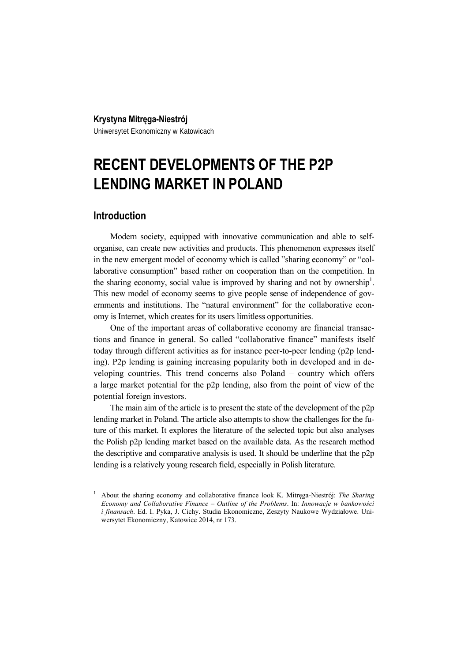### **Krystyna Mitręga-Niestrój**

Uniwersytet Ekonomiczny w Katowicach

# **RECENT DEVELOPMENTS OF THE P2P LENDING MARKET IN POLAND**

# **Introduction**

 $\overline{a}$ 

Modern society, equipped with innovative communication and able to selforganise, can create new activities and products. This phenomenon expresses itself in the new emergent model of economy which is called "sharing economy" or "collaborative consumption" based rather on cooperation than on the competition. In the sharing economy, social value is improved by sharing and not by ownership<sup>1</sup>. This new model of economy seems to give people sense of independence of governments and institutions. The "natural environment" for the collaborative economy is Internet, which creates for its users limitless opportunities.

One of the important areas of collaborative economy are financial transactions and finance in general. So called "collaborative finance" manifests itself today through different activities as for instance peer-to-peer lending (p2p lending). P2p lending is gaining increasing popularity both in developed and in developing countries. This trend concerns also Poland – country which offers a large market potential for the p2p lending, also from the point of view of the potential foreign investors.

The main aim of the article is to present the state of the development of the p2p lending market in Poland. The article also attempts to show the challenges for the future of this market. It explores the literature of the selected topic but also analyses the Polish p2p lending market based on the available data. As the research method the descriptive and comparative analysis is used. It should be underline that the p2p lending is a relatively young research field, especially in Polish literature.

<sup>1</sup> About the sharing economy and collaborative finance look K. Mitręga-Niestrój: *The Sharing Economy and Collaborative Finance – Outline of the Problems*. In: *Innowacje w bankowości i finansach*. Ed. I. Pyka, J. Cichy. Studia Ekonomiczne, Zeszyty Naukowe Wydziałowe. Uniwersytet Ekonomiczny, Katowice 2014, nr 173.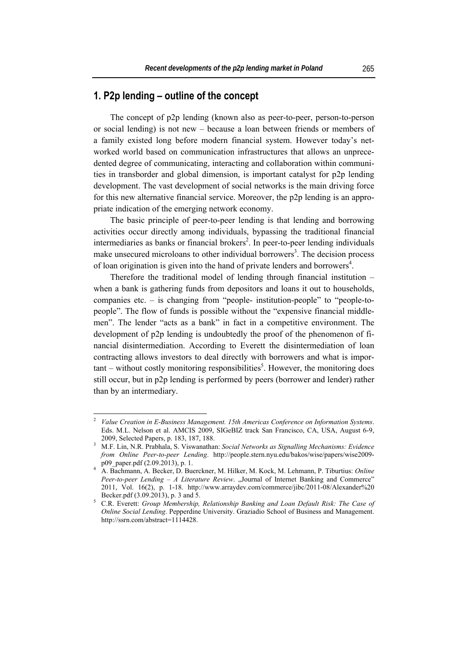### **1. P2p lending – outline of the concept**

The concept of p2p lending (known also as peer-to-peer, person-to-person or social lending) is not new – because a loan between friends or members of a family existed long before modern financial system. However today's networked world based on communication infrastructures that allows an unprecedented degree of communicating, interacting and collaboration within communities in transborder and global dimension, is important catalyst for p2p lending development. The vast development of social networks is the main driving force for this new alternative financial service. Moreover, the p2p lending is an appropriate indication of the emerging network economy.

The basic principle of peer-to-peer lending is that lending and borrowing activities occur directly among individuals, bypassing the traditional financial intermediaries as banks or financial brokers<sup>2</sup>. In peer-to-peer lending individuals make unsecured microloans to other individual borrowers<sup>3</sup>. The decision process of loan origination is given into the hand of private lenders and borrowers<sup>4</sup>.

Therefore the traditional model of lending through financial institution – when a bank is gathering funds from depositors and loans it out to households, companies etc. – is changing from "people- institution-people" to "people-topeople". The flow of funds is possible without the "expensive financial middlemen". The lender "acts as a bank" in fact in a competitive environment. The development of p2p lending is undoubtedly the proof of the phenomenon of financial disintermediation. According to Everett the disintermediation of loan contracting allows investors to deal directly with borrowers and what is impor- $\tanh$  – without costly monitoring responsibilities<sup>5</sup>. However, the monitoring does still occur, but in p2p lending is performed by peers (borrower and lender) rather than by an intermediary.

<sup>2</sup> *Value Creation in E-Business Management. 15th Americas Conference on Information Systems*. Eds. M.L. Nelson et al. AMCIS 2009, SIGeBIZ track San Francisco, CA, USA, August 6-9, 2009, Selected Papers, p. 183, 187, 188. 3

M.F. Lin, N.R. Prabhala, S. Viswanathan: *Social Networks as Signalling Mechanisms: Evidence from Online Peer-to-peer Lending*. http://people.stern.nyu.edu/bakos/wise/papers/wise2009 p09\_paper.pdf (2.09.2013), p. 1. 4 A. Bachmann, A. Becker, D. Buerckner, M. Hilker, M. Kock, M. Lehmann, P. Tiburtius: *Online* 

*Peer-to-peer Lending – A Literature Review.* "Journal of Internet Banking and Commerce" 2011, Vol. 16(2), p. 1-18. http://www.arraydev.com/commerce/jibc/2011-08/Alexander%20 Becker.pdf (3.09.2013), p. 3 and 5.

C.R. Everett: *Group Membership, Relationship Banking and Loan Default Risk: The Case of Online Social Lending*. Pepperdine University. Graziadio School of Business and Management. http://ssrn.com/abstract=1114428.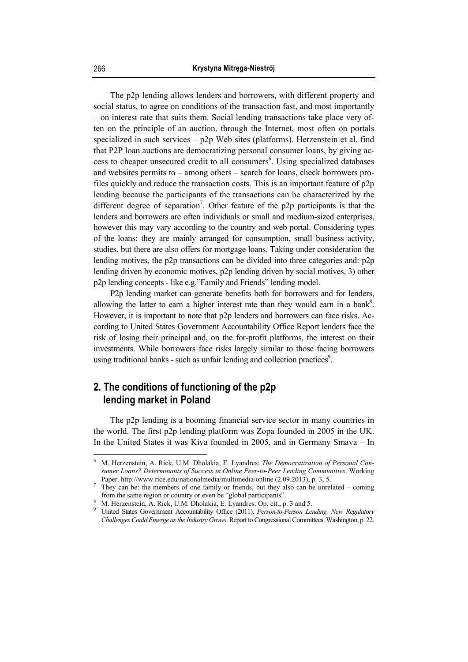The p2p lending allows lenders and borrowers, with different property and social status, to agree on conditions of the transaction fast, and most importantly – on interest rate that suits them. Social lending transactions take place very often on the principle of an auction, through the Internet, most often on portals specialized in such services  $- p2p$  Web sites (platforms). Herzenstein et al. find that P2P loan auctions are democratizing personal consumer loans, by giving access to cheaper unsecured credit to all consumers<sup>6</sup>. Using specialized databases and websites permits to – among others – search for loans, check borrowers profiles quickly and reduce the transaction costs. This is an important feature of p2p lending because the participants of the transactions can be characterized by the different degree of separation<sup>7</sup>. Other feature of the p2p participants is that the lenders and borrowers are often individuals or small and medium-sized enterprises, however this may vary according to the country and web portal. Considering types of the loans: they are mainly arranged for consumption, small business activity, studies, but there are also offers for mortgage loans. Taking under consideration the lending motives, the p2p transactions can be divided into three categories and: p2p lending driven by economic motives, p2p lending driven by social motives, 3) other p2p lending concepts - like e.g."Family and Friends" lending model.

P2p lending market can generate benefits both for borrowers and for lenders, allowing the latter to earn a higher interest rate than they would earn in a bank<sup>8</sup>. However, it is important to note that p2p lenders and borrowers can face risks. According to United States Government Accountability Office Report lenders face the risk of losing their principal and, on the for-profit platforms, the interest on their investments. While borrowers face risks largely similar to those facing borrowers using traditional banks - such as unfair lending and collection practices<sup>9</sup>.

# **2. The conditions of functioning of the p2p lending market in Poland**

The p2p lending is a booming financial service sector in many countries in the world. The first p2p lending platform was Zopa founded in 2005 in the UK. In the United States it was Kiva founded in 2005, and in Germany Smava – In

 6 M. Herzenstein, A. Rick, U.M. Dholakia, E. Lyandres: *The Democratization of Personal Consumer Loans? Determinants of Success in Online Peer-to-Peer Lending Communities*. Working Paper. http://www.rice.edu/nationalmedia/multimedia/online (2.09.2013), p. 3, 5.

They can be: the members of one family or friends, but they also can be unrelated – coming from the same region or country or even be "global participants".

M. Herzenstein, A. Rick, U.M. Dholakia, E. Lyandres: Op. cit., p. 3 and 5.

<sup>9</sup> United States Government Accountability Office (2011). *Person-to-Person Lending. New Regulatory Challenges Could Emerge as the Industry Grows*. Report to Congressional Committees. Washington, p. 22.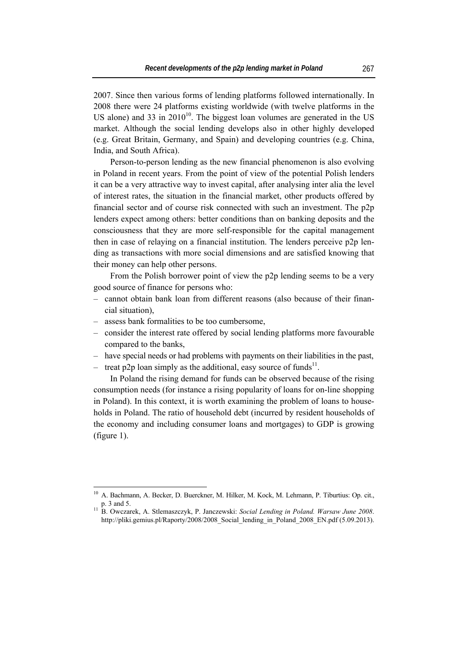2007. Since then various forms of lending platforms followed internationally. In 2008 there were 24 platforms existing worldwide (with twelve platforms in the US alone) and 33 in  $2010^{10}$ . The biggest loan volumes are generated in the US market. Although the social lending develops also in other highly developed (e.g. Great Britain, Germany, and Spain) and developing countries (e.g. China, India, and South Africa).

Person-to-person lending as the new financial phenomenon is also evolving in Poland in recent years. From the point of view of the potential Polish lenders it can be a very attractive way to invest capital, after analysing inter alia the level of interest rates, the situation in the financial market, other products offered by financial sector and of course risk connected with such an investment. The p2p lenders expect among others: better conditions than on banking deposits and the consciousness that they are more self-responsible for the capital management then in case of relaying on a financial institution. The lenders perceive p2p lending as transactions with more social dimensions and are satisfied knowing that their money can help other persons.

From the Polish borrower point of view the p2p lending seems to be a very good source of finance for persons who:

- ‒ cannot obtain bank loan from different reasons (also because of their financial situation),
- ‒ assess bank formalities to be too cumbersome,

 $\overline{a}$ 

- ‒ consider the interest rate offered by social lending platforms more favourable compared to the banks,
- ‒ have special needs or had problems with payments on their liabilities in the past,
- treat p2p loan simply as the additional, easy source of funds<sup>11</sup>.

In Poland the rising demand for funds can be observed because of the rising consumption needs (for instance a rising popularity of loans for on-line shopping in Poland). In this context, it is worth examining the problem of loans to households in Poland. The ratio of household debt (incurred by resident households of the economy and including consumer loans and mortgages) to GDP is growing (figure 1).

<sup>&</sup>lt;sup>10</sup> A. Bachmann, A. Becker, D. Buerckner, M. Hilker, M. Kock, M. Lehmann, P. Tiburtius: Op. cit., p. 3 and 5. 11 B. Owczarek, A. Stlemaszczyk, P. Janczewski: *Social Lending in Poland. Warsaw June 2008*.

http://pliki.gemius.pl/Raporty/2008/2008 Social\_lending\_in\_Poland\_2008\_EN.pdf (5.09.2013).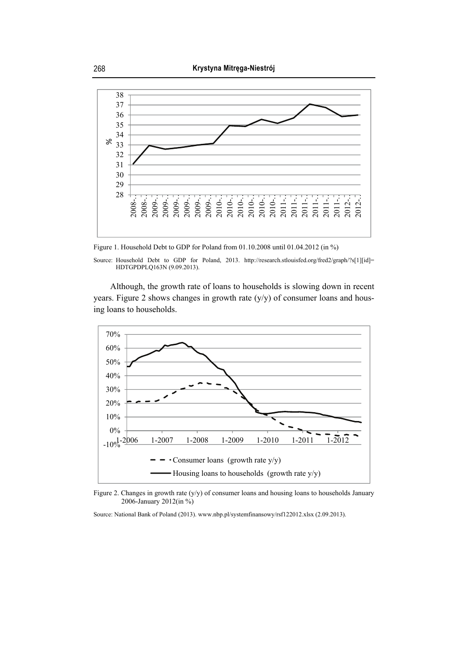

Figure 1. Household Debt to GDP for Poland from 01.10.2008 until 01.04.2012 (in %)

Although, the growth rate of loans to households is slowing down in recent years. Figure 2 shows changes in growth rate (y/y) of consumer loans and housing loans to households.



Figure 2. Changes in growth rate (y/y) of consumer loans and housing loans to households January 2006-January 2012(in %)

Source: National Bank of Poland (2013). www.nbp.pl/systemfinansowy/rsf122012.xlsx (2.09.2013).

Source: Household Debt to GDP for Poland, 2013. http://research.stlouisfed.org/fred2/graph/?s[1][id]= HDTGPDPLQ163N (9.09.2013).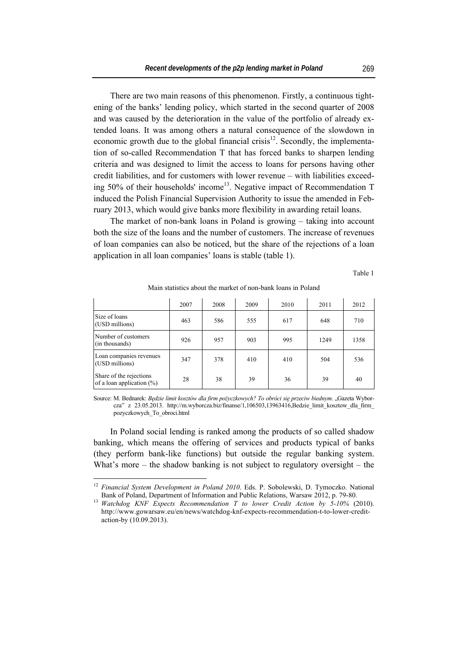There are two main reasons of this phenomenon. Firstly, a continuous tightening of the banks' lending policy, which started in the second quarter of 2008 and was caused by the deterioration in the value of the portfolio of already extended loans. It was among others a natural consequence of the slowdown in economic growth due to the global financial crisis<sup>12</sup>. Secondly, the implementation of so-called Recommendation T that has forced banks to sharpen lending criteria and was designed to limit the access to loans for persons having other credit liabilities, and for customers with lower revenue – with liabilities exceeding  $50\%$  of their households' income<sup>13</sup>. Negative impact of Recommendation T induced the Polish Financial Supervision Authority to issue the amended in February 2013, which would give banks more flexibility in awarding retail loans.

The market of non-bank loans in Poland is growing – taking into account both the size of the loans and the number of customers. The increase of revenues of loan companies can also be noticed, but the share of the rejections of a loan application in all loan companies' loans is stable (table 1).

Table 1

 $\overline{\phantom{a}}$ 

Ŧ

Main statistics about the market of non-bank loans in Poland  $\mathbf{r}$  $\overline{1}$  $\overline{\phantom{a}}$  $\blacksquare$  $\mathbf{r}$ 

|                                                      | 2007 | 2008 | 2009 | 2010 | 2011 | 2012 |
|------------------------------------------------------|------|------|------|------|------|------|
| Size of loans<br>(USD millions)                      | 463  | 586  | 555  | 617  | 648  | 710  |
| Number of customers<br>(in thousands)                | 926  | 957  | 903  | 995  | 1249 | 1358 |
| Loan companies revenues<br>(USD millions)            | 347  | 378  | 410  | 410  | 504  | 536  |
| Share of the rejections<br>of a loan application (%) | 28   | 38   | 39   | 36   | 39   | 40   |

Source: M. Bednarek: *Będzie limit kosztów dla firm pożyczkowych? To obróci się przeciw biednym*. "Gazeta Wyborcza" z 23.05.2013. http://m.wyborcza.biz/finanse/1,106503,13963416,Bedzie\_limit\_kosztow\_dla\_firm\_ pozyczkowych\_To\_obroci.html

In Poland social lending is ranked among the products of so called shadow banking, which means the offering of services and products typical of banks (they perform bank-like functions) but outside the regular banking system. What's more – the shadow banking is not subject to regulatory oversight – the

<sup>12</sup> *Financial System Development in Poland 2010*. Eds. P. Sobolewski, D. Tymoczko. National Bank of Poland, Department of Information and Public Relations, Warsaw 2012, p. 79-80. 13 *Watchdog KNF Expects Recommendation T to lower Credit Action by 5-10%* (2010).

http://www.gowarsaw.eu/en/news/watchdog-knf-expects-recommendation-t-to-lower-creditaction-by (10.09.2013).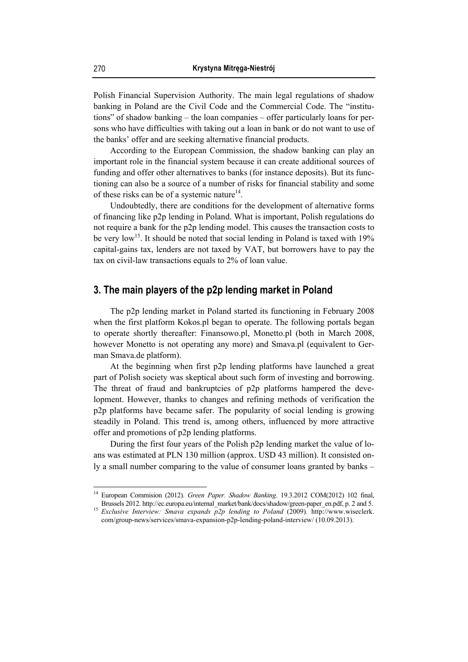Polish Financial Supervision Authority. The main legal regulations of shadow banking in Poland are the Civil Code and the Commercial Code. The "institutions" of shadow banking – the loan companies – offer particularly loans for persons who have difficulties with taking out a loan in bank or do not want to use of the banks' offer and are seeking alternative financial products.

According to the European Commission, the shadow banking can play an important role in the financial system because it can create additional sources of funding and offer other alternatives to banks (for instance deposits). But its functioning can also be a source of a number of risks for financial stability and some of these risks can be of a systemic nature<sup>14</sup>.

Undoubtedly, there are conditions for the development of alternative forms of financing like p2p lending in Poland. What is important, Polish regulations do not require a bank for the p2p lending model. This causes the transaction costs to be very low<sup>15</sup>. It should be noted that social lending in Poland is taxed with 19% capital-gains tax, lenders are not taxed by VAT, but borrowers have to pay the tax on civil-law transactions equals to 2% of loan value.

# **3. The main players of the p2p lending market in Poland**

The p2p lending market in Poland started its functioning in February 2008 when the first platform Kokos.pl began to operate. The following portals began to operate shortly thereafter: Finansowo.pl, Monetto.pl (both in March 2008, however Monetto is not operating any more) and Smava.pl (equivalent to German Smava.de platform).

At the beginning when first p2p lending platforms have launched a great part of Polish society was skeptical about such form of investing and borrowing. The threat of fraud and bankruptcies of p2p platforms hampered the development. However, thanks to changes and refining methods of verification the p2p platforms have became safer. The popularity of social lending is growing steadily in Poland. This trend is, among others, influenced by more attractive offer and promotions of p2p lending platforms.

During the first four years of the Polish p2p lending market the value of loans was estimated at PLN 130 million (approx. USD 43 million). It consisted only a small number comparing to the value of consumer loans granted by banks –

<sup>14</sup> European Commision (2012). *Green Paper. Shadow Banking*. 19.3.2012 COM(2012) 102 final, Brussels 2012. http://ec.europa.eu/internal\_market/bank/docs/shadow/green-paper\_en.pdf, p. 2 and 5. 15 *Exclusive Interview: Smava expands p2p lending to Poland* (2009). http://www.wiseclerk.

com/group-news/services/smava-expansion-p2p-lending-poland-interview/ (10.09.2013).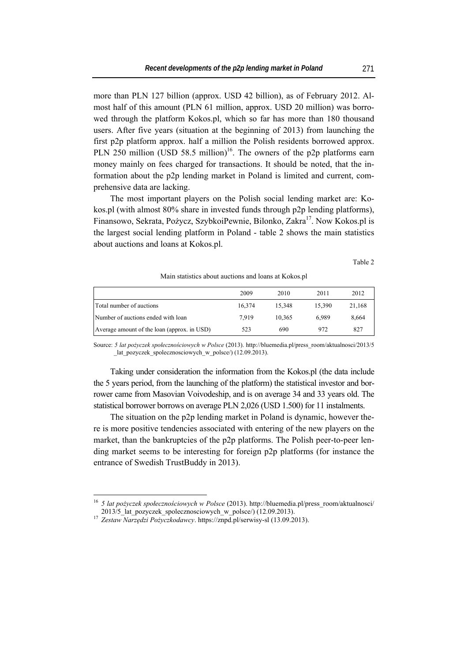more than PLN 127 billion (approx. USD 42 billion), as of February 2012. Almost half of this amount (PLN 61 million, approx. USD 20 million) was borrowed through the platform Kokos.pl, which so far has more than 180 thousand users. After five years (situation at the beginning of 2013) from launching the first p2p platform approx. half a million the Polish residents borrowed approx. PLN 250 million (USD 58.5 million)<sup>16</sup>. The owners of the p2p platforms earn money mainly on fees charged for transactions. It should be noted, that the information about the p2p lending market in Poland is limited and current, comprehensive data are lacking.

The most important players on the Polish social lending market are: Kokos.pl (with almost 80% share in invested funds through p2p lending platforms), Finansowo, Sekrata, Pożycz, SzybkoiPewnie, Bilonko, Zakra<sup>17</sup>, Now Kokos.pl is the largest social lending platform in Poland - table 2 shows the main statistics about auctions and loans at Kokos.pl.

Table 2

#### Main statistics about auctions and loans at Kokos.pl

|                                             | 2009   | 2010   | 2011   | 2012   |
|---------------------------------------------|--------|--------|--------|--------|
| Total number of auctions                    | 16,374 | 15.348 | 15.390 | 21,168 |
| Number of auctions ended with loan          | 7.919  | 10.365 | 6.989  | 8.664  |
| Average amount of the loan (approx. in USD) | 523    | 690    | 972    | 827    |

Source: *5 lat pożyczek społecznościowych w Polsce* (2013). http://bluemedia.pl/press\_room/aktualnosci/2013/5 \_lat\_pozyczek\_spolecznosciowych\_w\_polsce/) (12.09.2013).

Taking under consideration the information from the Kokos.pl (the data include the 5 years period, from the launching of the platform) the statistical investor and borrower came from Masovian Voivodeship, and is on average 34 and 33 years old. The statistical borrower borrows on average PLN 2,026 (USD 1.500) for 11 instalments.

The situation on the p2p lending market in Poland is dynamic, however there is more positive tendencies associated with entering of the new players on the market, than the bankruptcies of the p2p platforms. The Polish peer-to-peer lending market seems to be interesting for foreign p2p platforms (for instance the entrance of Swedish TrustBuddy in 2013).

<sup>16</sup> *5 lat pożyczek społecznościowych w Polsce* (2013). http://bluemedia.pl/press\_room/aktualnosci/ 2013/5\_lat\_pozyczek\_spolecznosciowych\_w\_polsce/) (12.09.2013). 17 *Zestaw Narzędzi Pożyczkodawcy*. https://znpd.pl/serwisy-sl (13.09.2013).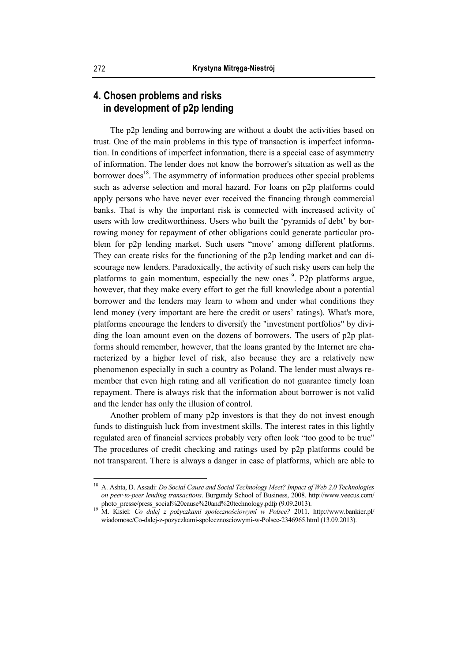# **4. Chosen problems and risks in development of p2p lending**

The p2p lending and borrowing are without a doubt the activities based on trust. One of the main problems in this type of transaction is imperfect information. In conditions of imperfect information, there is a special case of asymmetry of information. The lender does not know the borrower's situation as well as the borrower does<sup>18</sup>. The asymmetry of information produces other special problems such as adverse selection and moral hazard. For loans on p2p platforms could apply persons who have never ever received the financing through commercial banks. That is why the important risk is connected with increased activity of users with low creditworthiness. Users who built the 'pyramids of debt' by borrowing money for repayment of other obligations could generate particular problem for p2p lending market. Such users "move' among different platforms. They can create risks for the functioning of the p2p lending market and can discourage new lenders. Paradoxically, the activity of such risky users can help the platforms to gain momentum, especially the new ones<sup>19</sup>. P2p platforms argue, however, that they make every effort to get the full knowledge about a potential borrower and the lenders may learn to whom and under what conditions they lend money (very important are here the credit or users' ratings). What's more, platforms encourage the lenders to diversify the "investment portfolios" by dividing the loan amount even on the dozens of borrowers. The users of p2p platforms should remember, however, that the loans granted by the Internet are characterized by a higher level of risk, also because they are a relatively new phenomenon especially in such a country as Poland. The lender must always remember that even high rating and all verification do not guarantee timely loan repayment. There is always risk that the information about borrower is not valid and the lender has only the illusion of control.

Another problem of many p2p investors is that they do not invest enough funds to distinguish luck from investment skills. The interest rates in this lightly regulated area of financial services probably very often look "too good to be true" The procedures of credit checking and ratings used by p2p platforms could be not transparent. There is always a danger in case of platforms, which are able to

<sup>18</sup> A. Ashta, D. Assadi: *Do Social Cause and Social Technology Meet? Impact of Web 2.0 Technologies on peer-to-peer lending transactions*. Burgundy School of Business, 2008. http://www.veecus.com/

photo\_presse/press\_social%20cause%20and%20technology.pdfp (9.09.2013). 19 M. Kisiel: *Co dalej z pożyczkami społecznościowymi w Polsce?* 2011. http://www.bankier.pl/ wiadomosc/Co-dalej-z-pozyczkami-spolecznosciowymi-w-Polsce-2346965.html (13.09.2013).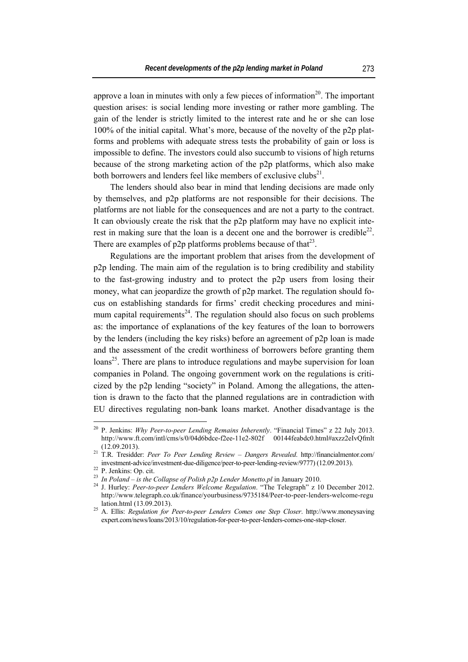approve a loan in minutes with only a few pieces of information<sup>20</sup>. The important question arises: is social lending more investing or rather more gambling. The gain of the lender is strictly limited to the interest rate and he or she can lose 100% of the initial capital. What's more, because of the novelty of the p2p platforms and problems with adequate stress tests the probability of gain or loss is impossible to define. The investors could also succumb to visions of high returns because of the strong marketing action of the p2p platforms, which also make both borrowers and lenders feel like members of exclusive clubs<sup>21</sup>.

The lenders should also bear in mind that lending decisions are made only by themselves, and p2p platforms are not responsible for their decisions. The platforms are not liable for the consequences and are not a party to the contract. It can obviously create the risk that the p2p platform may have no explicit interest in making sure that the loan is a decent one and the borrower is credible<sup>22</sup>. There are examples of  $p2p$  platforms problems because of that<sup>23</sup>.

Regulations are the important problem that arises from the development of p2p lending. The main aim of the regulation is to bring credibility and stability to the fast-growing industry and to protect the p2p users from losing their money, what can jeopardize the growth of p2p market. The regulation should focus on establishing standards for firms' credit checking procedures and minimum capital requirements<sup>24</sup>. The regulation should also focus on such problems as: the importance of explanations of the key features of the loan to borrowers by the lenders (including the key risks) before an agreement of p2p loan is made and the assessment of the credit worthiness of borrowers before granting them loans<sup>25</sup>. There are plans to introduce regulations and maybe supervision for loan companies in Poland. The ongoing government work on the regulations is criticized by the p2p lending "society" in Poland. Among the allegations, the attention is drawn to the facto that the planned regulations are in contradiction with EU directives regulating non-bank loans market. Another disadvantage is the

<sup>20</sup> P. Jenkins: *Why Peer-to-peer Lending Remains Inherently*. "Financial Times" z 22 July 2013. http://www.ft.com/intl/cms/s/0/04d6bdce-f2ee-11e2-802f 00144feabdc0.html#axzz2eIvQfmlt (12.09.2013). 21 T.R. Tresidder: *Peer To Peer Lending Review – Dangers Revealed*. http://financialmentor.com/

investment-advice/investment-due-diligence/peer-to-peer-lending-review/9777) (12.09.2013).<br><sup>22</sup> P. Jenkins: Op. cit.<br><sup>23</sup> In Poland – is the Collapse of Polish p2p Lender Monetto.pl in January 2010.

<sup>&</sup>lt;sup>24</sup> J. Hurley: *Peer-to-peer Lenders Welcome Regulation*. "The Telegraph" z 10 December 2012. http://www.telegraph.co.uk/finance/yourbusiness/9735184/Peer-to-peer-lenders-welcome-regu

lation.html (13.09.2013). 25 A. Ellis: *Regulation for Peer-to-peer Lenders Comes one Step Closer*. http://www.moneysaving expert.com/news/loans/2013/10/regulation-for-peer-to-peer-lenders-comes-one-step-closer.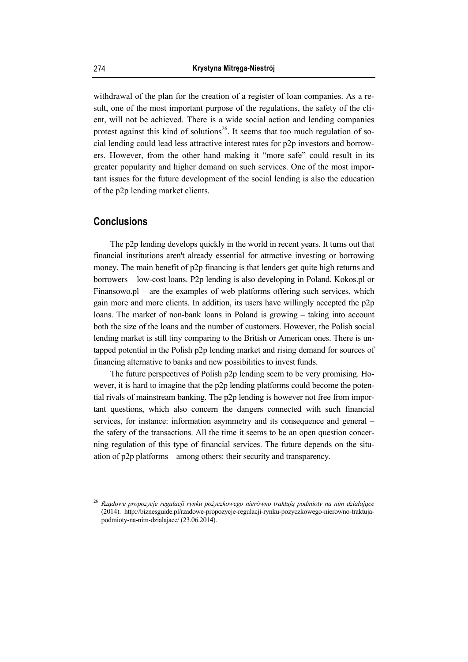withdrawal of the plan for the creation of a register of loan companies. As a result, one of the most important purpose of the regulations, the safety of the client, will not be achieved. There is a wide social action and lending companies protest against this kind of solutions<sup>26</sup>. It seems that too much regulation of social lending could lead less attractive interest rates for p2p investors and borrowers. However, from the other hand making it "more safe" could result in its greater popularity and higher demand on such services. One of the most important issues for the future development of the social lending is also the education of the p2p lending market clients.

### **Conclusions**

 $\overline{a}$ 

The p2p lending develops quickly in the world in recent years. It turns out that financial institutions aren't already essential for attractive investing or borrowing money. The main benefit of p2p financing is that lenders get quite high returns and borrowers – low-cost loans. P2p lending is also developing in Poland. Kokos.pl or Finansowo.pl – are the examples of web platforms offering such services, which gain more and more clients. In addition, its users have willingly accepted the p2p loans. The market of non-bank loans in Poland is growing – taking into account both the size of the loans and the number of customers. However, the Polish social lending market is still tiny comparing to the British or American ones. There is untapped potential in the Polish p2p lending market and rising demand for sources of financing alternative to banks and new possibilities to invest funds.

The future perspectives of Polish p2p lending seem to be very promising. However, it is hard to imagine that the p2p lending platforms could become the potential rivals of mainstream banking. The p2p lending is however not free from important questions, which also concern the dangers connected with such financial services, for instance: information asymmetry and its consequence and general – the safety of the transactions. All the time it seems to be an open question concerning regulation of this type of financial services. The future depends on the situation of p2p platforms – among others: their security and transparency.

<sup>26</sup> *Rządowe propozycje regulacji rynku pożyczkowego nierówno traktują podmioty na nim działające* (2014). http://biznesguide.pl/rzadowe-propozycje-regulacji-rynku-pozyczkowego-nierowno-traktujapodmioty-na-nim-dzialajace/ (23.06.2014).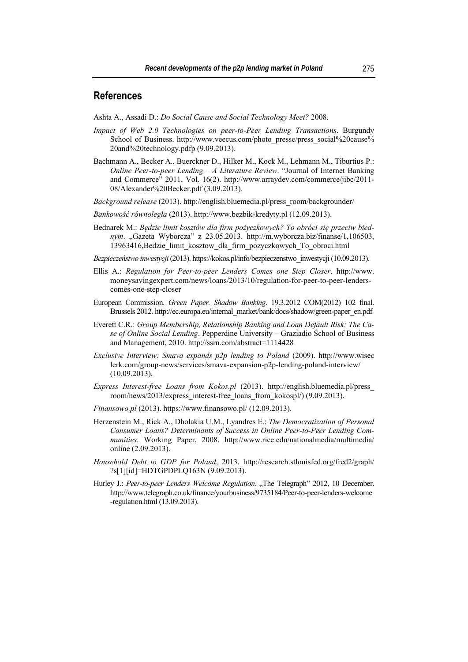## **References**

Ashta A., Assadi D.: *Do Social Cause and Social Technology Meet?* 2008.

- *Impact of Web 2.0 Technologies on peer-to-Peer Lending Transactions*. Burgundy School of Business. http://www.veecus.com/photo\_presse/press\_social%20cause% 20and%20technology.pdfp (9.09.2013).
- Bachmann A., Becker A., Buerckner D., Hilker M., Kock M., Lehmann M., Tiburtius P.: *Online Peer-to-peer Lending – A Literature Review*. "Journal of Internet Banking and Commerce" 2011, Vol. 16(2). http://www.arraydev.com/commerce/jibc/2011- 08/Alexander%20Becker.pdf (3.09.2013).
- *Background release* (2013). http://english.bluemedia.pl/press\_room/backgrounder/
- *Bankowość równoległa* (2013). http://www.bezbik-kredyty.pl (12.09.2013).
- Bednarek M.: *Będzie limit kosztów dla firm pożyczkowych? To obróci się przeciw biednym*. "Gazeta Wyborcza" z 23.05.2013. http://m.wyborcza.biz/finanse/1,106503, 13963416,Bedzie\_limit\_kosztow\_dla\_firm\_pozyczkowych\_To\_obroci.html
- *Bezpieczeństwo inwestycji* (2013). https://kokos.pl/info/bezpieczenstwo\_inwestycji (10.09.2013).
- Ellis A.: *Regulation for Peer-to-peer Lenders Comes one Step Closer*. http://www. moneysavingexpert.com/news/loans/2013/10/regulation-for-peer-to-peer-lenderscomes-one-step-closer
- European Commission. *Green Paper. Shadow Banking*. 19.3.2012 COM(2012) 102 final. Brussels 2012. http://ec.europa.eu/internal\_market/bank/docs/shadow/green-paper\_en.pdf
- Everett C.R.: *Group Membership, Relationship Banking and Loan Default Risk: The Case of Online Social Lending*. Pepperdine University – Graziadio School of Business and Management, 2010. http://ssrn.com/abstract=1114428
- *Exclusive Interview: Smava expands p2p lending to Poland* (2009). http://www.wisec lerk.com/group-news/services/smava-expansion-p2p-lending-poland-interview/ (10.09.2013).
- *Express Interest-free Loans from Kokos.pl* (2013). http://english.bluemedia.pl/press\_ room/news/2013/express\_interest-free\_loans\_from\_kokospl/) (9.09.2013).
- *Finansowo.pl* (2013). https://www.finansowo.pl/ (12.09.2013).
- Herzenstein M., Rick A., Dholakia U.M., Lyandres E.: *The Democratization of Personal Consumer Loans? Determinants of Success in Online Peer-to-Peer Lending Communities*. Working Paper, 2008. http://www.rice.edu/nationalmedia/multimedia/ online (2.09.2013).
- *Household Debt to GDP for Poland*, 2013. http://research.stlouisfed.org/fred2/graph/ ?s[1][id]=HDTGPDPLQ163N (9.09.2013).
- Hurley J.: Peer-to-peer Lenders Welcome Regulation. "The Telegraph" 2012, 10 December. http://www.telegraph.co.uk/finance/yourbusiness/9735184/Peer-to-peer-lenders-welcome -regulation.html (13.09.2013).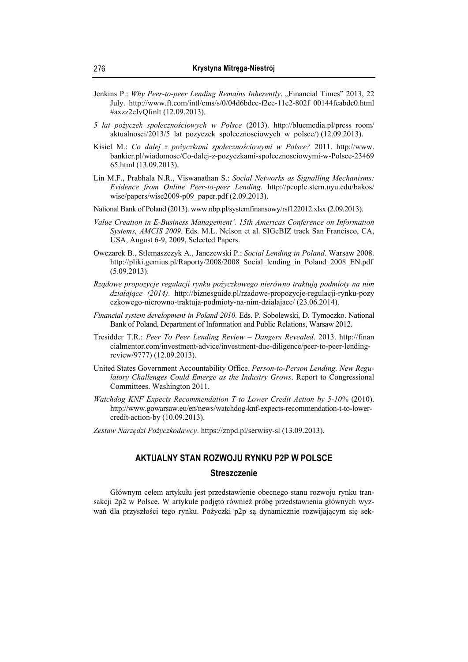- Jenkins P.: *Why Peer-to-peer Lending Remains Inherently.* "Financial Times" 2013, 22 July. http://www.ft.com/intl/cms/s/0/04d6bdce-f2ee-11e2-802f 00144feabdc0.html #axzz2eIvQfmlt (12.09.2013).
- *5 lat pożyczek społecznościowych w Polsce* (2013). http://bluemedia.pl/press\_room/ aktualnosci/2013/5\_lat\_pozyczek\_spolecznosciowych\_w\_polsce/) (12.09.2013).
- Kisiel M.: *Co dalej z pożyczkami społecznościowymi w Polsce?* 2011. http://www. bankier.pl/wiadomosc/Co-dalej-z-pozyczkami-spolecznosciowymi-w-Polsce-23469 65.html (13.09.2013).
- Lin M.F., Prabhala N.R., Viswanathan S.: *Social Networks as Signalling Mechanisms: Evidence from Online Peer-to-peer Lending*. http://people.stern.nyu.edu/bakos/ wise/papers/wise2009-p09\_paper.pdf (2.09.2013).
- National Bank of Poland (2013). www.nbp.pl/systemfinansowy/rsf122012.xlsx (2.09.2013).
- *Value Creation in E-Business Management'. 15th Americas Conference on Information Systems, AMCIS 2009*. Eds. M.L. Nelson et al. SIGeBIZ track San Francisco, CA, USA, August 6-9, 2009, Selected Papers.
- Owczarek B., Stlemaszczyk A., Janczewski P.: *Social Lending in Poland*. Warsaw 2008. http://pliki.gemius.pl/Raporty/2008/2008\_Social\_lending\_in\_Poland\_2008\_EN.pdf (5.09.2013).
- *Rządowe propozycje regulacji rynku pożyczkowego nierówno traktują podmioty na nim działające (2014)*. http://biznesguide.pl/rzadowe-propozycje-regulacji-rynku-pozy czkowego-nierowno-traktuja-podmioty-na-nim-dzialajace/ (23.06.2014).
- *Financial system development in Poland 2010*. Eds. P. Sobolewski, D. Tymoczko. National Bank of Poland, Department of Information and Public Relations, Warsaw 2012.
- Tresidder T.R.: *Peer To Peer Lending Review Dangers Revealed*. 2013. http://finan cialmentor.com/investment-advice/investment-due-diligence/peer-to-peer-lendingreview/9777) (12.09.2013).
- United States Government Accountability Office. *Person-to-Person Lending. New Regulatory Challenges Could Emerge as the Industry Grows*. Report to Congressional Committees. Washington 2011.
- *Watchdog KNF Expects Recommendation T to Lower Credit Action by 5-10%* (2010). http://www.gowarsaw.eu/en/news/watchdog-knf-expects-recommendation-t-to-lowercredit-action-by (10.09.2013).
- *Zestaw Narzędzi Pożyczkodawcy*. https://znpd.pl/serwisy-sl (13.09.2013).

# **AKTUALNY STAN ROZWOJU RYNKU P2P W POLSCE Streszczenie**

Głównym celem artykułu jest przedstawienie obecnego stanu rozwoju rynku transakcji 2p2 w Polsce. W artykule podjęto również próbę przedstawienia głównych wyzwań dla przyszłości tego rynku. Pożyczki p2p są dynamicznie rozwijającym się sek